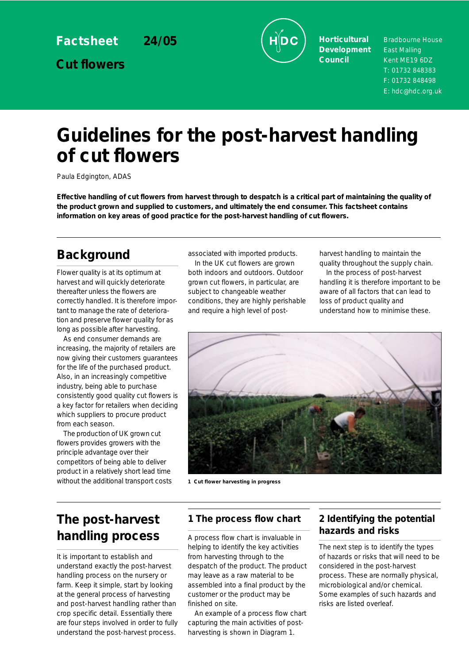**Factsheet 24/05**

**Cut flowers**



**Horticultural Development Council**

Bradbourne House East Malling Kent ME19 6DZ T: 01732 848383 F: 01732 848498 E: hdc@hdc.org.uk

# **Guidelines for the post-harvest handling of cut flowers**

Paula Edgington, ADAS

**Effective handling of cut flowers from harvest through to despatch is a critical part of maintaining the quality of the product grown and supplied to customers, and ultimately the end consumer. This factsheet contains information on key areas of good practice for the post-harvest handling of cut flowers.**

# **Background**

Flower quality is at its optimum at harvest and will quickly deteriorate thereafter unless the flowers are correctly handled. It is therefore important to manage the rate of deterioration and preserve flower quality for as long as possible after harvesting.

As end consumer demands are increasing, the majority of retailers are now giving their customers guarantees for the life of the purchased product. Also, in an increasingly competitive industry, being able to purchase consistently good quality cut flowers is a key factor for retailers when deciding which suppliers to procure product from each season.

The production of UK grown cut flowers provides growers with the principle advantage over their competitors of being able to deliver product in a relatively short lead time without the additional transport costs **1 Cut flower harvesting in progress** 

associated with imported products.

In the UK cut flowers are grown both indoors and outdoors. Outdoor grown cut flowers, in particular, are subject to changeable weather conditions, they are highly perishable and require a high level of postharvest handling to maintain the

quality throughout the supply chain. In the process of post-harvest handling it is therefore important to be aware of all factors that can lead to loss of product quality and understand how to minimise these.



# **The post-harvest handling process**

It is important to establish and understand exactly the post-harvest handling process on the nursery or farm. Keep it simple, start by looking at the general process of harvesting and post-harvest handling rather than crop specific detail. Essentially there are four steps involved in order to fully understand the post-harvest process.

# **1 The process flow chart**

A process flow chart is invaluable in helping to identify the key activities from harvesting through to the despatch of the product. The product may leave as a raw material to be assembled into a final product by the customer or the product may be finished on site.

An example of a process flow chart capturing the main activities of postharvesting is shown in Diagram 1.

# **2 Identifying the potential hazards and risks**

The next step is to identify the types of hazards or risks that will need to be considered in the post-harvest process. These are normally physical, microbiological and/or chemical. Some examples of such hazards and risks are listed overleaf.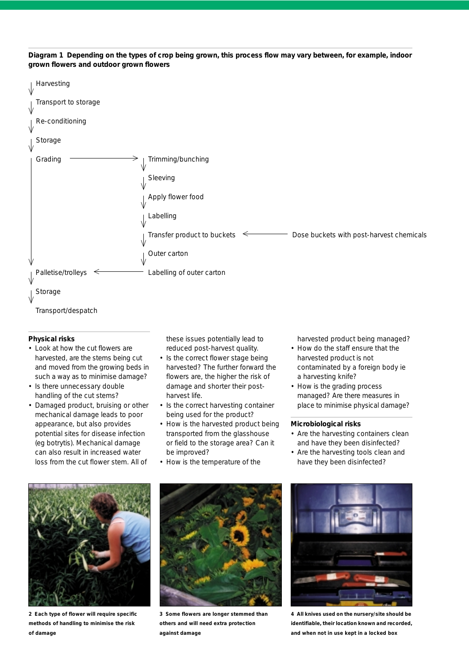



#### **Physical risks**

- Look at how the cut flowers are harvested, are the stems being cut and moved from the growing beds in such a way as to minimise damage?
- Is there unnecessary double handling of the cut stems?
- Damaged product, bruising or other mechanical damage leads to poor appearance, but also provides potential sites for disease infection (eg botrytis). Mechanical damage can also result in increased water loss from the cut flower stem. All of

these issues potentially lead to reduced post-harvest quality.

- Is the correct flower stage being harvested? The further forward the flowers are, the higher the risk of damage and shorter their postharvest life.
- Is the correct harvesting container being used for the product?
- How is the harvested product being transported from the glasshouse or field to the storage area? Can it be improved?
- How is the temperature of the

harvested product being managed?

- How do the staff ensure that the harvested product is not contaminated by a foreign body ie a harvesting knife?
- How is the grading process managed? Are there measures in place to minimise physical damage?

#### **Microbiological risks**

- Are the harvesting containers clean and have they been disinfected?
- Are the harvesting tools clean and have they been disinfected?



**2 Each type of flower will require specific methods of handling to minimise the risk of damage**



**3 Some flowers are longer stemmed than others and will need extra protection against damage**



**4 All knives used on the nursery/site should be identifiable, their location known and recorded, and when not in use kept in a locked box**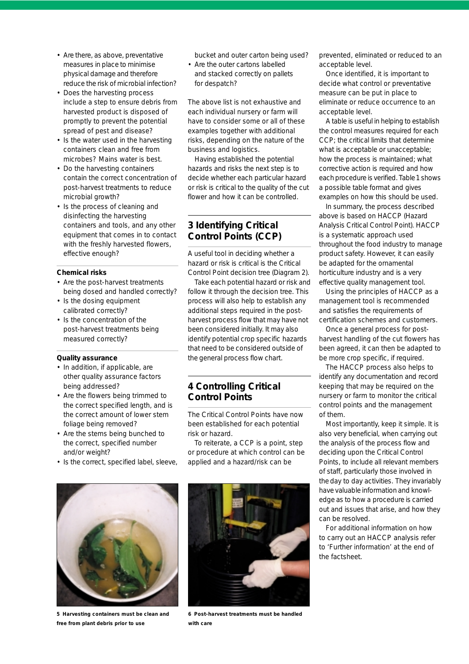- Are there, as above, preventative measures in place to minimise physical damage and therefore reduce the risk of microbial infection?
- Does the harvesting process include a step to ensure debris from harvested product is disposed of promptly to prevent the potential spread of pest and disease?
- Is the water used in the harvesting containers clean and free from microbes? Mains water is best.
- Do the harvesting containers contain the correct concentration of post-harvest treatments to reduce microbial growth?
- Is the process of cleaning and disinfecting the harvesting containers and tools, and any other equipment that comes in to contact with the freshly harvested flowers, effective enough?

#### **Chemical risks**

- Are the post-harvest treatments being dosed and handled correctly?
- Is the dosing equipment calibrated correctly?
- Is the concentration of the post-harvest treatments being measured correctly?

#### **Quality assurance**

- In addition, if applicable, are other quality assurance factors being addressed?
- Are the flowers being trimmed to the correct specified length, and is the correct amount of lower stem foliage being removed?
- Are the stems being bunched to the correct, specified number and/or weight?
- Is the correct, specified label, sleeve,



**5 Harvesting containers must be clean and free from plant debris prior to use**

bucket and outer carton being used?

• Are the outer cartons labelled and stacked correctly on pallets for despatch?

The above list is not exhaustive and each individual nursery or farm will have to consider some or all of these examples together with additional risks, depending on the nature of the business and logistics.

Having established the potential hazards and risks the next step is to decide whether each particular hazard or risk is critical to the quality of the cut flower and how it can be controlled.

### **3 Identifying Critical Control Points (CCP)**

A useful tool in deciding whether a hazard or risk is critical is the Critical Control Point decision tree (Diagram 2).

Take each potential hazard or risk and follow it through the decision tree. This process will also help to establish any additional steps required in the postharvest process flow that may have not been considered initially. It may also identify potential crop specific hazards that need to be considered outside of the general process flow chart.

# **4 Controlling Critical Control Points**

The Critical Control Points have now been established for each potential risk or hazard.

To reiterate, a CCP is a point, step or procedure at which control can be applied and a hazard/risk can be



**6 Post-harvest treatments must be handled with care**

prevented, eliminated or reduced to an acceptable level.

Once identified, it is important to decide what control or preventative measure can be put in place to eliminate or reduce occurrence to an acceptable level.

A table is useful in helping to establish the control measures required for each CCP; the critical limits that determine what is acceptable or unacceptable; how the process is maintained; what corrective action is required and how each procedure is verified. Table 1 shows a possible table format and gives examples on how this should be used.

In summary, the process described above is based on HACCP (Hazard Analysis Critical Control Point). HACCP is a systematic approach used throughout the food industry to manage product safety. However, it can easily be adapted for the ornamental horticulture industry and is a very effective quality management tool.

Using the principles of HACCP as a management tool is recommended and satisfies the requirements of certification schemes and customers.

Once a general process for postharvest handling of the cut flowers has been agreed, it can then be adapted to be more crop specific, if required.

The HACCP process also helps to identify any documentation and record keeping that may be required on the nursery or farm to monitor the critical control points and the management of them.

Most importantly, keep it simple. It is also very beneficial, when carrying out the analysis of the process flow and deciding upon the Critical Control Points, to include all relevant members of staff, particularly those involved in the day to day activities. They invariably have valuable information and knowledge as to how a procedure is carried out and issues that arise, and how they can be resolved.

For additional information on how to carry out an HACCP analysis refer to 'Further information' at the end of the factsheet.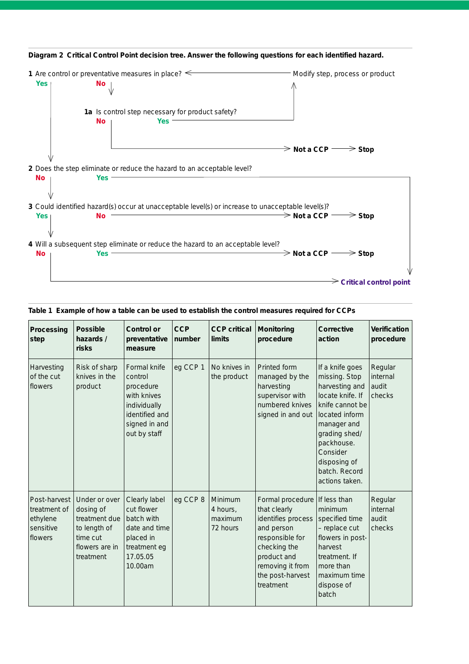

**Diagram 2 Critical Control Point decision tree. Answer the following questions for each identified hazard.**

#### **Table 1 Example of how a table can be used to establish the control measures required for CCPs**

| Processing<br>step                                               | <b>Possible</b><br>hazards /<br>risks                                                                  | <b>Control or</b><br>preventative<br>measure                                                                           | <b>CCP</b><br>number | <b>CCP</b> critical<br><b>limits</b>       | Monitoring<br>procedure                                                                                                                                                     | <b>Corrective</b><br>action                                                                                                                                                                                              | <b>Verification</b><br>procedure       |
|------------------------------------------------------------------|--------------------------------------------------------------------------------------------------------|------------------------------------------------------------------------------------------------------------------------|----------------------|--------------------------------------------|-----------------------------------------------------------------------------------------------------------------------------------------------------------------------------|--------------------------------------------------------------------------------------------------------------------------------------------------------------------------------------------------------------------------|----------------------------------------|
| Harvesting<br>of the cut<br>flowers                              | Risk of sharp<br>knives in the<br>product                                                              | Formal knife<br>control<br>procedure<br>with knives<br>individually<br>identified and<br>signed in and<br>out by staff | eg CCP 1             | No knives in<br>the product                | Printed form<br>managed by the<br>harvesting<br>supervisor with<br>numbered knives<br>signed in and out                                                                     | If a knife goes<br>missing. Stop<br>harvesting and<br>locate knife. If<br>knife cannot be<br>located inform<br>manager and<br>grading shed/<br>packhouse.<br>Consider<br>disposing of<br>batch. Record<br>actions taken. | Regular<br>internal<br>audit<br>checks |
| Post-harvest<br>treatment of<br>ethylene<br>sensitive<br>flowers | Under or over<br>dosing of<br>treatment due<br>to length of<br>time cut<br>flowers are in<br>treatment | Clearly label<br>cut flower<br>batch with<br>date and time<br>placed in<br>treatment eg<br>17.05.05<br>10.00am         | eg CCP 8             | Minimum<br>4 hours,<br>maximum<br>72 hours | Formal procedure<br>that clearly<br>identifies process<br>and person<br>responsible for<br>checking the<br>product and<br>removing it from<br>the post-harvest<br>treatment | If less than<br>minimum<br>specified time<br>- replace cut<br>flowers in post-<br>harvest<br>treatment. If<br>more than<br>maximum time<br>dispose of<br>batch                                                           | Regular<br>internal<br>audit<br>checks |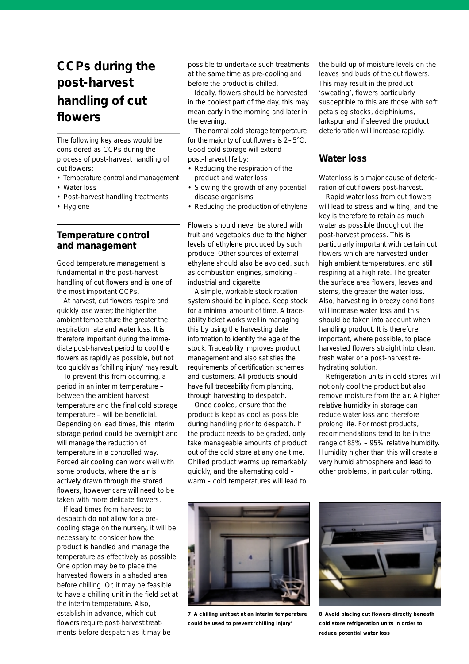# **CCPs during the post-harvest handling of cut flowers**

The following key areas would be considered as CCPs during the process of post-harvest handling of cut flowers:

- Temperature control and management
- Water loss
- Post-harvest handling treatments
- Hygiene

### **Temperature control and management**

Good temperature management is fundamental in the post-harvest handling of cut flowers and is one of the most important CCPs.

At harvest, cut flowers respire and quickly lose water; the higher the ambient temperature the greater the respiration rate and water loss. It is therefore important during the immediate post-harvest period to cool the flowers as rapidly as possible, but not too quickly as 'chilling injury' may result.

To prevent this from occurring, a period in an interim temperature – between the ambient harvest temperature and the final cold storage temperature – will be beneficial. Depending on lead times, this interim storage period could be overnight and will manage the reduction of temperature in a controlled way. Forced air cooling can work well with some products, where the air is actively drawn through the stored flowers, however care will need to be taken with more delicate flowers.

If lead times from harvest to despatch do not allow for a precooling stage on the nursery, it will be necessary to consider how the product is handled and manage the temperature as effectively as possible. One option may be to place the harvested flowers in a shaded area before chilling. Or, it may be feasible to have a chilling unit in the field set at the interim temperature. Also, establish in advance, which cut flowers require post-harvest treatments before despatch as it may be

possible to undertake such treatments at the same time as pre-cooling and before the product is chilled.

Ideally, flowers should be harvested in the coolest part of the day, this may mean early in the morning and later in the evening.

The normal cold storage temperature for the majority of cut flowers is 2–5°C. Good cold storage will extend post–harvest life by:

- Reducing the respiration of the product and water loss
- Slowing the growth of any potential disease organisms
- Reducing the production of ethylene

Flowers should never be stored with fruit and vegetables due to the higher levels of ethylene produced by such produce. Other sources of external ethylene should also be avoided, such as combustion engines, smoking – industrial and cigarette.

A simple, workable stock rotation system should be in place. Keep stock for a minimal amount of time. A traceability ticket works well in managing this by using the harvesting date information to identify the age of the stock. Traceability improves product management and also satisfies the requirements of certification schemes and customers. All products should have full traceability from planting, through harvesting to despatch.

Once cooled, ensure that the product is kept as cool as possible during handling prior to despatch. If the product needs to be graded, only take manageable amounts of product out of the cold store at any one time. Chilled product warms up remarkably quickly, and the alternating cold – warm – cold temperatures will lead to the build up of moisture levels on the leaves and buds of the cut flowers. This may result in the product 'sweating', flowers particularly susceptible to this are those with soft petals eg stocks, delphiniums, larkspur and if sleeved the product deterioration will increase rapidly.

### **Water loss**

Water loss is a major cause of deterioration of cut flowers post-harvest.

Rapid water loss from cut flowers will lead to stress and wilting, and the key is therefore to retain as much water as possible throughout the post-harvest process. This is particularly important with certain cut flowers which are harvested under high ambient temperatures, and still respiring at a high rate. The greater the surface area flowers, leaves and stems, the greater the water loss. Also, harvesting in breezy conditions will increase water loss and this should be taken into account when handling product. It is therefore important, where possible, to place harvested flowers straight into clean, fresh water or a post-harvest rehydrating solution.

Refrigeration units in cold stores will not only cool the product but also remove moisture from the air. A higher relative humidity in storage can reduce water loss and therefore prolong life. For most products, recommendations tend to be in the range of 85% – 95% relative humidity. Humidity higher than this will create a very humid atmosphere and lead to other problems, in particular rotting.



**7 A chilling unit set at an interim temperature could be used to prevent 'chilling injury'**



**8 Avoid placing cut flowers directly beneath cold store refrigeration units in order to reduce potential water loss**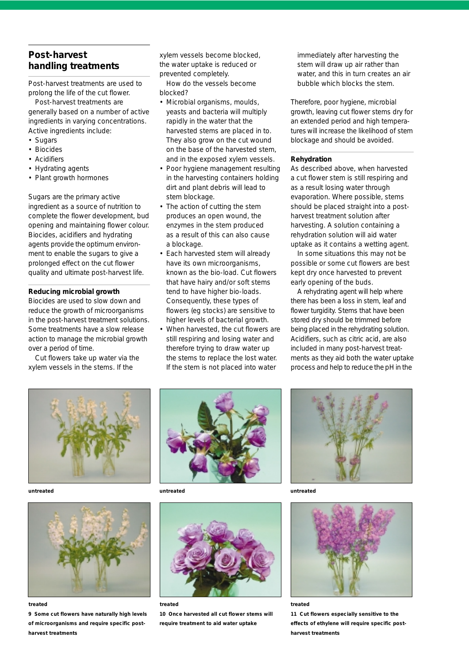# **Post-harvest handling treatments**

Post-harvest treatments are used to prolong the life of the cut flower.

Post-harvest treatments are generally based on a number of active ingredients in varying concentrations. Active ingredients include:

- Sugars
- Biocides
- Acidifiers
- Hydrating agents
- Plant growth hormones

Sugars are the primary active ingredient as a source of nutrition to complete the flower development, bud opening and maintaining flower colour. Biocides, acidifiers and hydrating agents provide the optimum environment to enable the sugars to give a prolonged effect on the cut flower quality and ultimate post-harvest life.

#### **Reducing microbial growth**

Biocides are used to slow down and reduce the growth of microorganisms in the post-harvest treatment solutions. Some treatments have a slow release action to manage the microbial growth over a period of time.

Cut flowers take up water via the xylem vessels in the stems. If the

xylem vessels become blocked, the water uptake is reduced or prevented completely.

How do the vessels become blocked?

- Microbial organisms, moulds, yeasts and bacteria will multiply rapidly in the water that the harvested stems are placed in to. They also grow on the cut wound on the base of the harvested stem, and in the exposed xylem vessels.
- Poor hygiene management resulting in the harvesting containers holding dirt and plant debris will lead to stem blockage.
- The action of cutting the stem produces an open wound, the enzymes in the stem produced as a result of this can also cause a blockage.
- Each harvested stem will already have its own microorganisms. known as the bio-load. Cut flowers that have hairy and/or soft stems tend to have higher bio-loads. Consequently, these types of flowers (eg stocks) are sensitive to higher levels of bacterial growth.
- When harvested, the cut flowers are still respiring and losing water and therefore trying to draw water up the stems to replace the lost water. If the stem is not placed into water

immediately after harvesting the stem will draw up air rather than water, and this in turn creates an air bubble which blocks the stem.

Therefore, poor hygiene, microbial growth, leaving cut flower stems dry for an extended period and high temperatures will increase the likelihood of stem blockage and should be avoided.

#### **Rehydration**

As described above, when harvested a cut flower stem is still respiring and as a result losing water through evaporation. Where possible, stems should be placed straight into a postharvest treatment solution after harvesting. A solution containing a rehydration solution will aid water uptake as it contains a wetting agent.

In some situations this may not be possible or some cut flowers are best kept dry once harvested to prevent early opening of the buds.

A rehydrating agent will help where there has been a loss in stem, leaf and flower turgidity. Stems that have been stored dry should be trimmed before being placed in the rehydrating solution. Acidifiers, such as citric acid, are also included in many post-harvest treatments as they aid both the water uptake process and help to reduce the pH in the



*untreated untreated untreated*



**9 Some cut flowers have naturally high levels of microorganisms and require specific postharvest treatments**





*treated treated treated*

**10 Once harvested all cut flower stems will require treatment to aid water uptake**





**11 Cut flowers especially sensitive to the effects of ethylene will require specific postharvest treatments**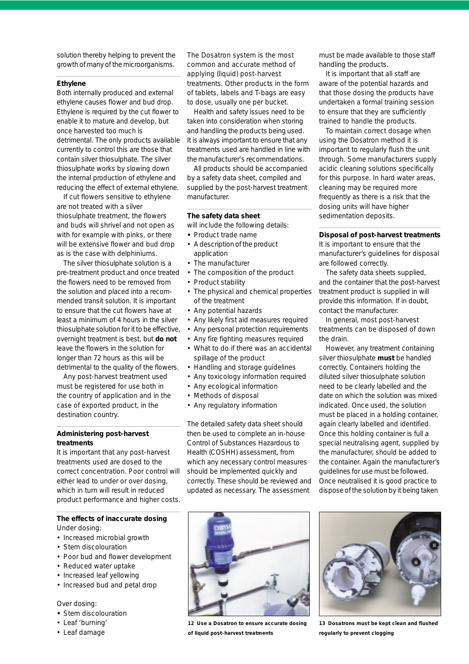solution thereby helping to prevent the growth of many of the microorganisms.

#### **Ethylene**

Both internally produced and external ethylene causes flower and bud drop. Ethylene is required by the cut flower to enable it to mature and develop, but once harvested too much is detrimental. The only products available currently to control this are those that contain silver thiosulphate. The silver thiosulphate works by slowing down the internal production of ethylene and reducing the effect of external ethylene.

If cut flowers sensitive to ethylene are not treated with a silver thiosulphate treatment, the flowers and buds will shrivel and not open as with for example with pinks, or there will be extensive flower and bud drop as is the case with delphiniums.

The silver thiosulphate solution is a pre-treatment product and once treated the flowers need to be removed from the solution and placed into a recommended transit solution. It is important to ensure that the cut flowers have at least a minimum of 4 hours in the silver thiosulphate solution for it to be effective, overnight treatment is best, but **do not** leave the flowers in the solution for longer than 72 hours as this will be detrimental to the quality of the flowers.

Any post-harvest treatment used must be registered for use both in the country of application and in the case of exported product, in the destination country.

#### **Administering post-harvest treatments**

It is important that any post-harvest treatments used are dosed to the correct concentration. Poor control will either lead to under or over dosing, which in turn will result in reduced product performance and higher costs.

#### **The effects of inaccurate dosing** *Under dosing:*

- Increased microbial growth
- Stem discolouration
- Poor bud and flower development
- Reduced water uptake
- Increased leaf yellowing
- Increased bud and petal drop

#### *Over dosing:*

- **•** Stem discolouration
- Leaf 'burning'
- Leaf damage

The Dosatron system is the most common and accurate method of applying (liquid) post-harvest treatments. Other products in the form of tablets, labels and T-bags are easy to dose, usually one per bucket.

Health and safety issues need to be taken into consideration when storing and handling the products being used. It is always important to ensure that any treatments used are handled in line with the manufacturer's recommendations.

All products should be accompanied by a safety data sheet, compiled and supplied by the post-harvest treatment manufacturer.

#### **The safety data sheet**

*will include the following details:*

- **•** Product trade name
- A description of the product application
- The manufacturer
- The composition of the product
- Product stability
- The physical and chemical properties of the treatment
- Any potential hazards
- Any likely first aid measures required
- Any personal protection requirements
- Any fire fighting measures required
- What to do if there was an accidental spillage of the product
- Handling and storage guidelines
- Any toxicology information required
- Any ecological information
- Methods of disposal
- Any regulatory information

The detailed safety data sheet should then be used to complete an in-house Control of Substances Hazardous to Health (COSHH) assessment, from which any necessary control measures should be implemented quickly and correctly. These should be reviewed and updated as necessary. The assessment

must be made available to those staff handling the products.

It is important that all staff are aware of the potential hazards and that those dosing the products have undertaken a formal training session to ensure that they are sufficiently trained to handle the products.

To maintain correct dosage when using the Dosatron method it is important to regularly flush the unit through. Some manufacturers supply acidic cleaning solutions specifically for this purpose. In hard water areas, cleaning may be required more frequently as there is a risk that the dosing units will have higher sedimentation deposits.

**Disposal of post-harvest treatments**

It is important to ensure that the manufacturer's guidelines for disposal are followed correctly.

The safety data sheets supplied, and the container that the post-harvest treatment product is supplied in will provide this information. If in doubt, contact the manufacturer.

In general, most post-harvest treatments can be disposed of down the drain.

However, any treatment containing silver thiosulphate **must** be handled correctly. Containers holding the diluted silver thiosulphate solution need to be clearly labelled and the date on which the solution was mixed indicated. Once used, the solution must be placed in a holding container, again clearly labelled and identified. Once this holding container is full a special neutralising agent, supplied by the manufacturer, should be added to the container. Again the manufacturer's guidelines for use must be followed. Once neutralised it is good practice to dispose of the solution by it being taken



**12 Use a Dosatron to ensure accurate dosing of liquid post-harvest treatments**



**13 Dosatrons must be kept clean and flushed regularly to prevent clogging**